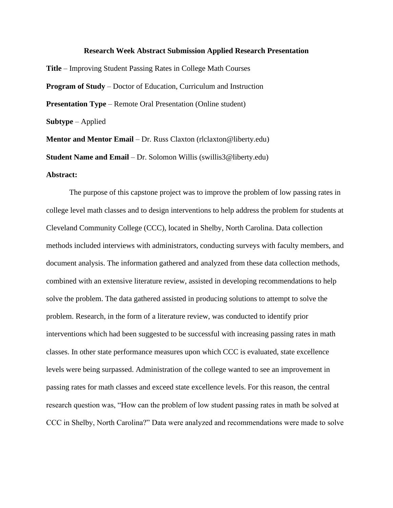## **Research Week Abstract Submission Applied Research Presentation**

**Title** – Improving Student Passing Rates in College Math Courses **Program of Study** – Doctor of Education, Curriculum and Instruction **Presentation Type** – Remote Oral Presentation (Online student) **Subtype** – Applied **Mentor and Mentor Email** – Dr. Russ Claxton (rlclaxton@liberty.edu)

**Student Name and Email** – Dr. Solomon Willis (swillis3@liberty.edu)

## **Abstract:**

The purpose of this capstone project was to improve the problem of low passing rates in college level math classes and to design interventions to help address the problem for students at Cleveland Community College (CCC), located in Shelby, North Carolina. Data collection methods included interviews with administrators, conducting surveys with faculty members, and document analysis. The information gathered and analyzed from these data collection methods, combined with an extensive literature review, assisted in developing recommendations to help solve the problem. The data gathered assisted in producing solutions to attempt to solve the problem. Research, in the form of a literature review, was conducted to identify prior interventions which had been suggested to be successful with increasing passing rates in math classes. In other state performance measures upon which CCC is evaluated, state excellence levels were being surpassed. Administration of the college wanted to see an improvement in passing rates for math classes and exceed state excellence levels. For this reason, the central research question was, "How can the problem of low student passing rates in math be solved at CCC in Shelby, North Carolina?" Data were analyzed and recommendations were made to solve